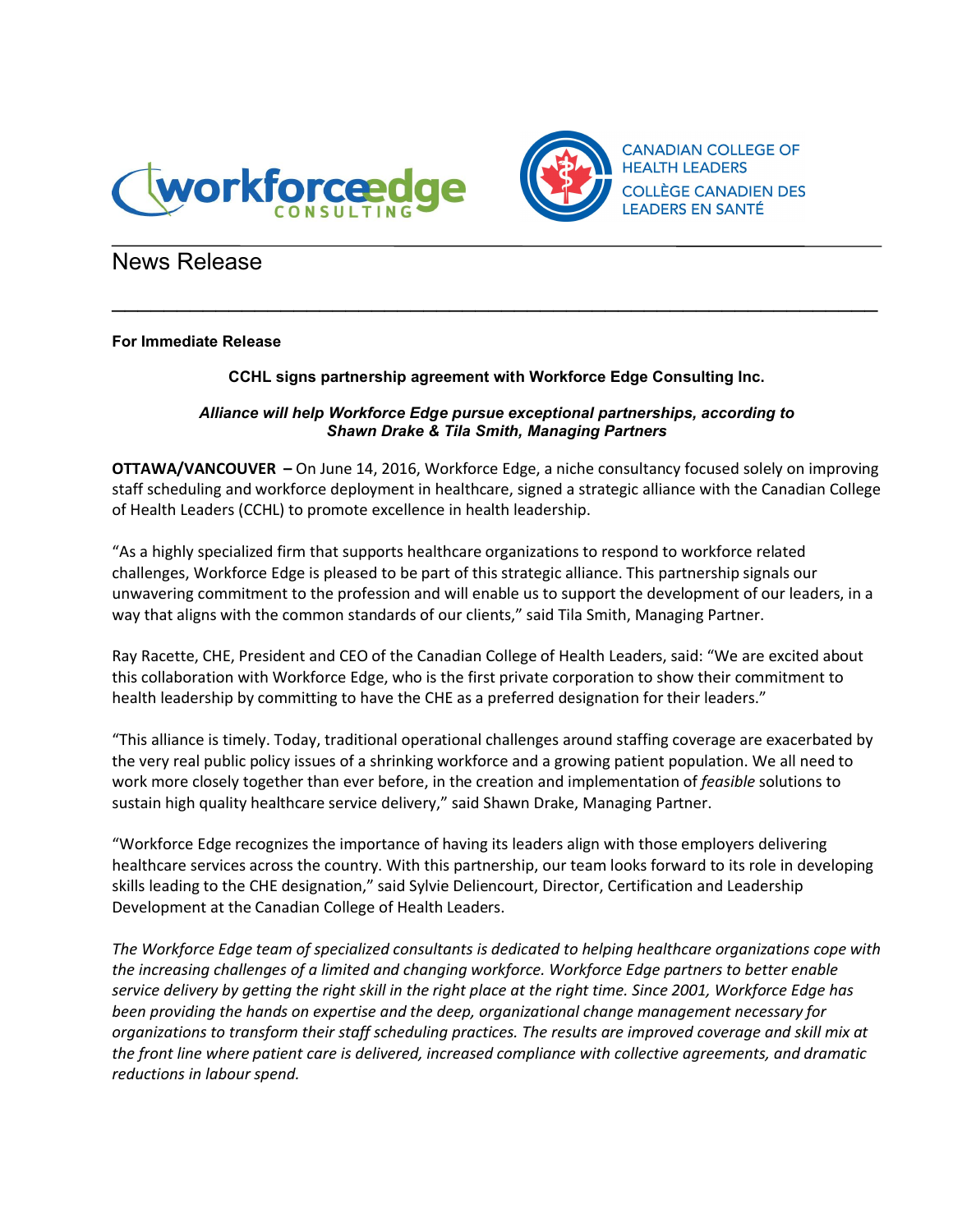



## News Release

## For Immediate Release

## CCHL signs partnership agreement with Workforce Edge Consulting Inc.

 $\mathcal{L}_\text{max}$  and  $\mathcal{L}_\text{max}$  and  $\mathcal{L}_\text{max}$  and  $\mathcal{L}_\text{max}$  and  $\mathcal{L}_\text{max}$  and  $\mathcal{L}_\text{max}$ 

## *Alliance will help Workforce Edge pursue exceptional partnerships, according to Shawn Drake & Tila Smith, Managing Partners*

OTTAWA/VANCOUVER – On June 14, 2016, Workforce Edge, a niche consultancy focused solely on improving staff scheduling and workforce deployment in healthcare, signed a strategic alliance with the Canadian College of Health Leaders (CCHL) to promote excellence in health leadership.

"As a highly specialized firm that supports healthcare organizations to respond to workforce related challenges, Workforce Edge is pleased to be part of this strategic alliance. This partnership signals our unwavering commitment to the profession and will enable us to support the development of our leaders, in a way that aligns with the common standards of our clients," said Tila Smith, Managing Partner.

Ray Racette, CHE, President and CEO of the Canadian College of Health Leaders, said: "We are excited about this collaboration with Workforce Edge, who is the first private corporation to show their commitment to health leadership by committing to have the CHE as a preferred designation for their leaders."

"This alliance is timely. Today, traditional operational challenges around staffing coverage are exacerbated by the very real public policy issues of a shrinking workforce and a growing patient population. We all need to work more closely together than ever before, in the creation and implementation of *feasible* solutions to sustain high quality healthcare service delivery," said Shawn Drake, Managing Partner.

"Workforce Edge recognizes the importance of having its leaders align with those employers delivering healthcare services across the country. With this partnership, our team looks forward to its role in developing skills leading to the CHE designation," said Sylvie Deliencourt, Director, Certification and Leadership Development at the Canadian College of Health Leaders.

*The Workforce Edge team of specialized consultants is dedicated to helping healthcare organizations cope with the increasing challenges of a limited and changing workforce. Workforce Edge partners to better enable service delivery by getting the right skill in the right place at the right time. Since 2001, Workforce Edge has been providing the hands on expertise and the deep, organizational change management necessary for organizations to transform their staff scheduling practices. The results are improved coverage and skill mix at the front line where patient care is delivered, increased compliance with collective agreements, and dramatic reductions in labour spend.*